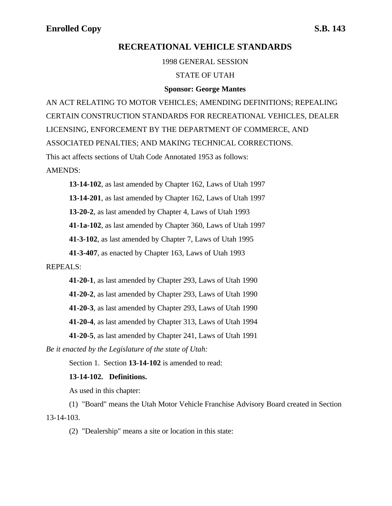## **RECREATIONAL VEHICLE STANDARDS**

1998 GENERAL SESSION

### STATE OF UTAH

### **Sponsor: George Mantes**

AN ACT RELATING TO MOTOR VEHICLES; AMENDING DEFINITIONS; REPEALING CERTAIN CONSTRUCTION STANDARDS FOR RECREATIONAL VEHICLES, DEALER LICENSING, ENFORCEMENT BY THE DEPARTMENT OF COMMERCE, AND ASSOCIATED PENALTIES; AND MAKING TECHNICAL CORRECTIONS. This act affects sections of Utah Code Annotated 1953 as follows: AMENDS:

**13-14-102**, as last amended by Chapter 162, Laws of Utah 1997

**13-14-201**, as last amended by Chapter 162, Laws of Utah 1997

**13-20-2**, as last amended by Chapter 4, Laws of Utah 1993

**41-1a-102**, as last amended by Chapter 360, Laws of Utah 1997

**41-3-102**, as last amended by Chapter 7, Laws of Utah 1995

**41-3-407**, as enacted by Chapter 163, Laws of Utah 1993

### REPEALS:

**41-20-1**, as last amended by Chapter 293, Laws of Utah 1990 **41-20-2**, as last amended by Chapter 293, Laws of Utah 1990 **41-20-3**, as last amended by Chapter 293, Laws of Utah 1990 **41-20-4**, as last amended by Chapter 313, Laws of Utah 1994 **41-20-5**, as last amended by Chapter 241, Laws of Utah 1991

*Be it enacted by the Legislature of the state of Utah:*

Section 1. Section **13-14-102** is amended to read:

## **13-14-102. Definitions.**

As used in this chapter:

(1) "Board" means the Utah Motor Vehicle Franchise Advisory Board created in Section 13-14-103.

(2) "Dealership" means a site or location in this state: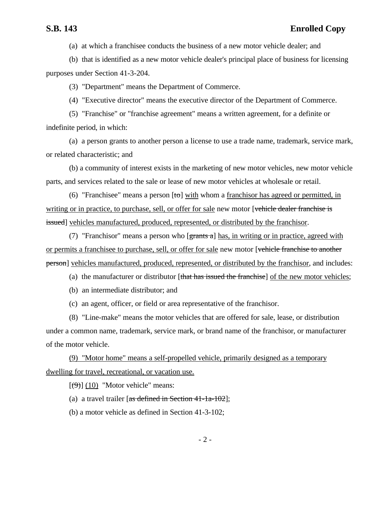(a) at which a franchisee conducts the business of a new motor vehicle dealer; and

(b) that is identified as a new motor vehicle dealer's principal place of business for licensing purposes under Section 41-3-204.

(3) "Department" means the Department of Commerce.

(4) "Executive director" means the executive director of the Department of Commerce.

(5) "Franchise" or "franchise agreement" means a written agreement, for a definite or indefinite period, in which:

(a) a person grants to another person a license to use a trade name, trademark, service mark, or related characteristic; and

(b) a community of interest exists in the marketing of new motor vehicles, new motor vehicle parts, and services related to the sale or lease of new motor vehicles at wholesale or retail.

(6) "Franchisee" means a person  $[t\sigma]$  with whom a franchisor has agreed or permitted, in writing or in practice, to purchase, sell, or offer for sale new motor [vehicle dealer franchise is issued] vehicles manufactured, produced, represented, or distributed by the franchisor.

(7) "Franchisor" means a person who  $[**grants a**]$  has, in writing or in practice, agreed with or permits a franchisee to purchase, sell, or offer for sale new motor [vehicle franchise to another person] vehicles manufactured, produced, represented, or distributed by the franchisor, and includes:

(a) the manufacturer or distributor [that has issued the franchise] of the new motor vehicles;

(b) an intermediate distributor; and

(c) an agent, officer, or field or area representative of the franchisor.

(8) "Line-make" means the motor vehicles that are offered for sale, lease, or distribution under a common name, trademark, service mark, or brand name of the franchisor, or manufacturer of the motor vehicle.

(9) "Motor home" means a self-propelled vehicle, primarily designed as a temporary dwelling for travel, recreational, or vacation use.

 $[(9)]$  (10) "Motor vehicle" means:

(a) a travel trailer  $[as defined in Section 41-1a-102]$ ;

(b) a motor vehicle as defined in Section 41-3-102;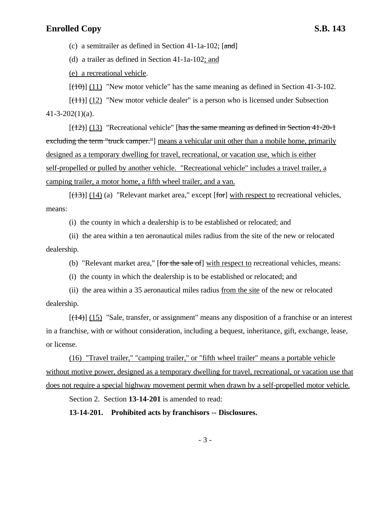(c) a semitrailer as defined in Section 41-1a-102;  $[and]$ 

(d) a trailer as defined in Section 41-1a-102; and

(e) a recreational vehicle.

 $[(10)(11)]$  "New motor vehicle" has the same meaning as defined in Section 41-3-102.

 $[(11)]$  (12) "New motor vehicle dealer" is a person who is licensed under Subsection  $41 - 3 - 202(1)(a)$ .

 $[(12)]$  (13) "Recreational vehicle" [has the same meaning as defined in Section 41-20-1] excluding the term "truck camper."] means a vehicular unit other than a mobile home, primarily designed as a temporary dwelling for travel, recreational, or vacation use, which is either self-propelled or pulled by another vehicle. "Recreational vehicle" includes a travel trailer, a camping trailer, a motor home, a fifth wheel trailer, and a van.

 $[(13)]$  (14) (a) "Relevant market area," except [for] with respect to recreational vehicles, means:

(i) the county in which a dealership is to be established or relocated; and

(ii) the area within a ten aeronautical miles radius from the site of the new or relocated dealership.

(b) "Relevant market area," [for the sale of] with respect to recreational vehicles, means:

(i) the county in which the dealership is to be established or relocated; and

(ii) the area within a 35 aeronautical miles radius from the site of the new or relocated dealership.

 $[(14)]$  (15) "Sale, transfer, or assignment" means any disposition of a franchise or an interest in a franchise, with or without consideration, including a bequest, inheritance, gift, exchange, lease, or license.

(16) "Travel trailer," "camping trailer," or "fifth wheel trailer" means a portable vehicle without motive power, designed as a temporary dwelling for travel, recreational, or vacation use that does not require a special highway movement permit when drawn by a self-propelled motor vehicle.

Section 2. Section **13-14-201** is amended to read:

**13-14-201. Prohibited acts by franchisors -- Disclosures.**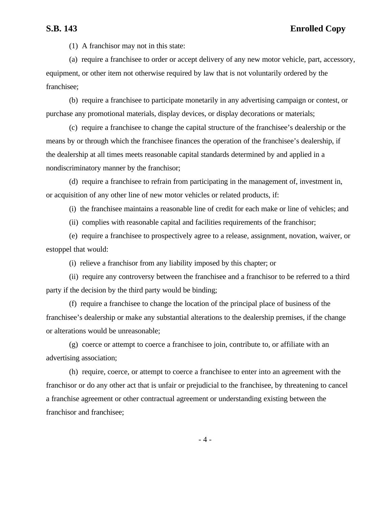(1) A franchisor may not in this state:

(a) require a franchisee to order or accept delivery of any new motor vehicle, part, accessory, equipment, or other item not otherwise required by law that is not voluntarily ordered by the franchisee;

(b) require a franchisee to participate monetarily in any advertising campaign or contest, or purchase any promotional materials, display devices, or display decorations or materials;

(c) require a franchisee to change the capital structure of the franchisee's dealership or the means by or through which the franchisee finances the operation of the franchisee's dealership, if the dealership at all times meets reasonable capital standards determined by and applied in a nondiscriminatory manner by the franchisor;

(d) require a franchisee to refrain from participating in the management of, investment in, or acquisition of any other line of new motor vehicles or related products, if:

(i) the franchisee maintains a reasonable line of credit for each make or line of vehicles; and

(ii) complies with reasonable capital and facilities requirements of the franchisor;

(e) require a franchisee to prospectively agree to a release, assignment, novation, waiver, or estoppel that would:

(i) relieve a franchisor from any liability imposed by this chapter; or

(ii) require any controversy between the franchisee and a franchisor to be referred to a third party if the decision by the third party would be binding;

(f) require a franchisee to change the location of the principal place of business of the franchisee's dealership or make any substantial alterations to the dealership premises, if the change or alterations would be unreasonable;

(g) coerce or attempt to coerce a franchisee to join, contribute to, or affiliate with an advertising association;

(h) require, coerce, or attempt to coerce a franchisee to enter into an agreement with the franchisor or do any other act that is unfair or prejudicial to the franchisee, by threatening to cancel a franchise agreement or other contractual agreement or understanding existing between the franchisor and franchisee;

- 4 -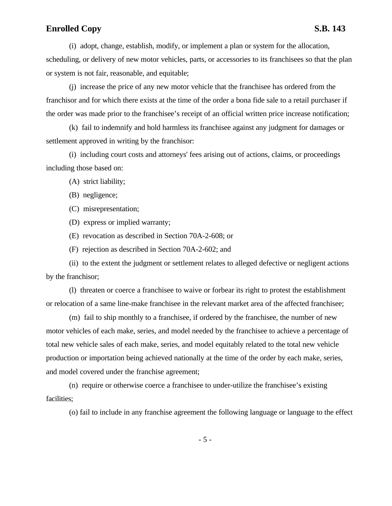(i) adopt, change, establish, modify, or implement a plan or system for the allocation, scheduling, or delivery of new motor vehicles, parts, or accessories to its franchisees so that the plan or system is not fair, reasonable, and equitable;

(j) increase the price of any new motor vehicle that the franchisee has ordered from the franchisor and for which there exists at the time of the order a bona fide sale to a retail purchaser if the order was made prior to the franchisee's receipt of an official written price increase notification;

(k) fail to indemnify and hold harmless its franchisee against any judgment for damages or settlement approved in writing by the franchisor:

(i) including court costs and attorneys' fees arising out of actions, claims, or proceedings including those based on:

(A) strict liability;

(B) negligence;

(C) misrepresentation;

(D) express or implied warranty;

(E) revocation as described in Section 70A-2-608; or

(F) rejection as described in Section 70A-2-602; and

(ii) to the extent the judgment or settlement relates to alleged defective or negligent actions by the franchisor;

(l) threaten or coerce a franchisee to waive or forbear its right to protest the establishment or relocation of a same line-make franchisee in the relevant market area of the affected franchisee;

(m) fail to ship monthly to a franchisee, if ordered by the franchisee, the number of new motor vehicles of each make, series, and model needed by the franchisee to achieve a percentage of total new vehicle sales of each make, series, and model equitably related to the total new vehicle production or importation being achieved nationally at the time of the order by each make, series, and model covered under the franchise agreement;

(n) require or otherwise coerce a franchisee to under-utilize the franchisee's existing facilities;

(o) fail to include in any franchise agreement the following language or language to the effect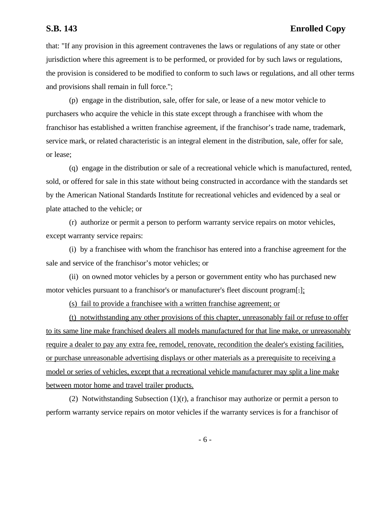that: "If any provision in this agreement contravenes the laws or regulations of any state or other jurisdiction where this agreement is to be performed, or provided for by such laws or regulations, the provision is considered to be modified to conform to such laws or regulations, and all other terms and provisions shall remain in full force.";

(p) engage in the distribution, sale, offer for sale, or lease of a new motor vehicle to purchasers who acquire the vehicle in this state except through a franchisee with whom the franchisor has established a written franchise agreement, if the franchisor's trade name, trademark, service mark, or related characteristic is an integral element in the distribution, sale, offer for sale, or lease;

(q) engage in the distribution or sale of a recreational vehicle which is manufactured, rented, sold, or offered for sale in this state without being constructed in accordance with the standards set by the American National Standards Institute for recreational vehicles and evidenced by a seal or plate attached to the vehicle; or

(r) authorize or permit a person to perform warranty service repairs on motor vehicles, except warranty service repairs:

(i) by a franchisee with whom the franchisor has entered into a franchise agreement for the sale and service of the franchisor's motor vehicles; or

(ii) on owned motor vehicles by a person or government entity who has purchased new motor vehicles pursuant to a franchisor's or manufacturer's fleet discount program[.];

(s) fail to provide a franchisee with a written franchise agreement; or

(t) notwithstanding any other provisions of this chapter, unreasonably fail or refuse to offer to its same line make franchised dealers all models manufactured for that line make, or unreasonably require a dealer to pay any extra fee, remodel, renovate, recondition the dealer's existing facilities, or purchase unreasonable advertising displays or other materials as a prerequisite to receiving a model or series of vehicles, except that a recreational vehicle manufacturer may split a line make between motor home and travel trailer products.

(2) Notwithstanding Subsection  $(1)(r)$ , a franchisor may authorize or permit a person to perform warranty service repairs on motor vehicles if the warranty services is for a franchisor of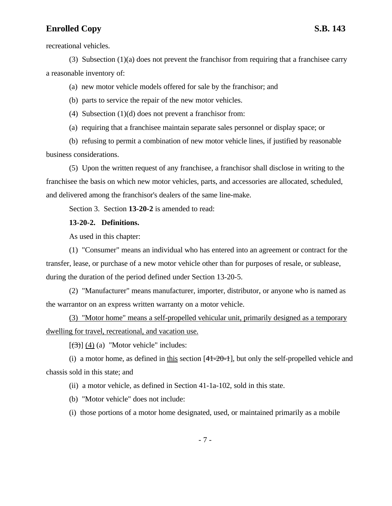recreational vehicles.

(3) Subsection  $(1)(a)$  does not prevent the franchisor from requiring that a franchisee carry a reasonable inventory of:

(a) new motor vehicle models offered for sale by the franchisor; and

(b) parts to service the repair of the new motor vehicles.

(4) Subsection (1)(d) does not prevent a franchisor from:

(a) requiring that a franchisee maintain separate sales personnel or display space; or

(b) refusing to permit a combination of new motor vehicle lines, if justified by reasonable business considerations.

(5) Upon the written request of any franchisee, a franchisor shall disclose in writing to the franchisee the basis on which new motor vehicles, parts, and accessories are allocated, scheduled, and delivered among the franchisor's dealers of the same line-make.

Section 3. Section **13-20-2** is amended to read:

## **13-20-2. Definitions.**

As used in this chapter:

(1) "Consumer" means an individual who has entered into an agreement or contract for the transfer, lease, or purchase of a new motor vehicle other than for purposes of resale, or sublease, during the duration of the period defined under Section 13-20-5.

(2) "Manufacturer" means manufacturer, importer, distributor, or anyone who is named as the warrantor on an express written warranty on a motor vehicle.

(3) "Motor home" means a self-propelled vehicular unit, primarily designed as a temporary dwelling for travel, recreational, and vacation use.

 $[(3)]$  (4) (a) "Motor vehicle" includes:

(i) a motor home, as defined in this section  $[41-20-1]$ , but only the self-propelled vehicle and chassis sold in this state; and

(ii) a motor vehicle, as defined in Section 41-1a-102, sold in this state.

(b) "Motor vehicle" does not include:

(i) those portions of a motor home designated, used, or maintained primarily as a mobile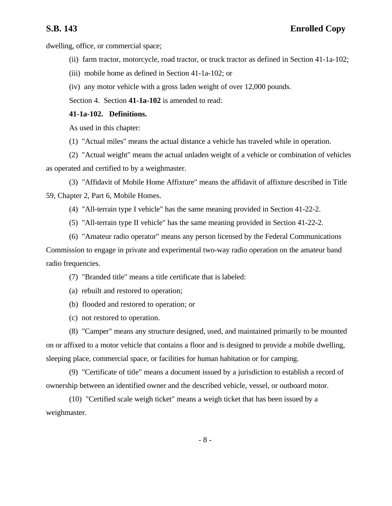dwelling, office, or commercial space;

- (ii) farm tractor, motorcycle, road tractor, or truck tractor as defined in Section 41-1a-102;
- (iii) mobile home as defined in Section 41-1a-102; or

(iv) any motor vehicle with a gross laden weight of over 12,000 pounds.

Section 4. Section **41-1a-102** is amended to read:

## **41-1a-102. Definitions.**

As used in this chapter:

(1) "Actual miles" means the actual distance a vehicle has traveled while in operation.

(2) "Actual weight" means the actual unladen weight of a vehicle or combination of vehicles as operated and certified to by a weighmaster.

(3) "Affidavit of Mobile Home Affixture" means the affidavit of affixture described in Title 59, Chapter 2, Part 6, Mobile Homes.

(4) "All-terrain type I vehicle" has the same meaning provided in Section 41-22-2.

(5) "All-terrain type II vehicle" has the same meaning provided in Section 41-22-2.

(6) "Amateur radio operator" means any person licensed by the Federal Communications Commission to engage in private and experimental two-way radio operation on the amateur band radio frequencies.

(7) "Branded title" means a title certificate that is labeled:

- (a) rebuilt and restored to operation;
- (b) flooded and restored to operation; or

(c) not restored to operation.

(8) "Camper" means any structure designed, used, and maintained primarily to be mounted on or affixed to a motor vehicle that contains a floor and is designed to provide a mobile dwelling, sleeping place, commercial space, or facilities for human habitation or for camping.

(9) "Certificate of title" means a document issued by a jurisdiction to establish a record of ownership between an identified owner and the described vehicle, vessel, or outboard motor.

(10) "Certified scale weigh ticket" means a weigh ticket that has been issued by a weighmaster.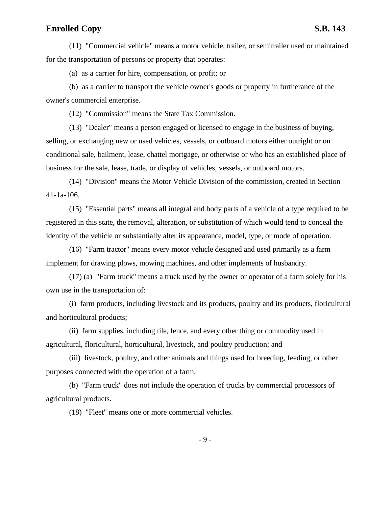(11) "Commercial vehicle" means a motor vehicle, trailer, or semitrailer used or maintained for the transportation of persons or property that operates:

(a) as a carrier for hire, compensation, or profit; or

(b) as a carrier to transport the vehicle owner's goods or property in furtherance of the owner's commercial enterprise.

(12) "Commission" means the State Tax Commission.

(13) "Dealer" means a person engaged or licensed to engage in the business of buying, selling, or exchanging new or used vehicles, vessels, or outboard motors either outright or on conditional sale, bailment, lease, chattel mortgage, or otherwise or who has an established place of business for the sale, lease, trade, or display of vehicles, vessels, or outboard motors.

(14) "Division" means the Motor Vehicle Division of the commission, created in Section 41-1a-106.

(15) "Essential parts" means all integral and body parts of a vehicle of a type required to be registered in this state, the removal, alteration, or substitution of which would tend to conceal the identity of the vehicle or substantially alter its appearance, model, type, or mode of operation.

(16) "Farm tractor" means every motor vehicle designed and used primarily as a farm implement for drawing plows, mowing machines, and other implements of husbandry.

(17) (a) "Farm truck" means a truck used by the owner or operator of a farm solely for his own use in the transportation of:

(i) farm products, including livestock and its products, poultry and its products, floricultural and horticultural products;

(ii) farm supplies, including tile, fence, and every other thing or commodity used in agricultural, floricultural, horticultural, livestock, and poultry production; and

(iii) livestock, poultry, and other animals and things used for breeding, feeding, or other purposes connected with the operation of a farm.

(b) "Farm truck" does not include the operation of trucks by commercial processors of agricultural products.

(18) "Fleet" means one or more commercial vehicles.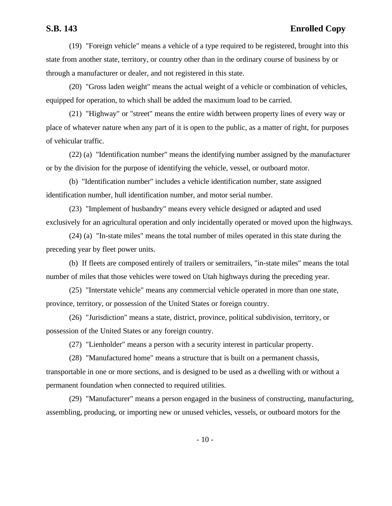(19) "Foreign vehicle" means a vehicle of a type required to be registered, brought into this state from another state, territory, or country other than in the ordinary course of business by or through a manufacturer or dealer, and not registered in this state.

(20) "Gross laden weight" means the actual weight of a vehicle or combination of vehicles, equipped for operation, to which shall be added the maximum load to be carried.

(21) "Highway" or "street" means the entire width between property lines of every way or place of whatever nature when any part of it is open to the public, as a matter of right, for purposes of vehicular traffic.

(22) (a) "Identification number" means the identifying number assigned by the manufacturer or by the division for the purpose of identifying the vehicle, vessel, or outboard motor.

(b) "Identification number" includes a vehicle identification number, state assigned identification number, hull identification number, and motor serial number.

(23) "Implement of husbandry" means every vehicle designed or adapted and used exclusively for an agricultural operation and only incidentally operated or moved upon the highways.

(24) (a) "In-state miles" means the total number of miles operated in this state during the preceding year by fleet power units.

(b) If fleets are composed entirely of trailers or semitrailers, "in-state miles" means the total number of miles that those vehicles were towed on Utah highways during the preceding year.

(25) "Interstate vehicle" means any commercial vehicle operated in more than one state, province, territory, or possession of the United States or foreign country.

(26) "Jurisdiction" means a state, district, province, political subdivision, territory, or possession of the United States or any foreign country.

(27) "Lienholder" means a person with a security interest in particular property.

(28) "Manufactured home" means a structure that is built on a permanent chassis, transportable in one or more sections, and is designed to be used as a dwelling with or without a permanent foundation when connected to required utilities.

(29) "Manufacturer" means a person engaged in the business of constructing, manufacturing, assembling, producing, or importing new or unused vehicles, vessels, or outboard motors for the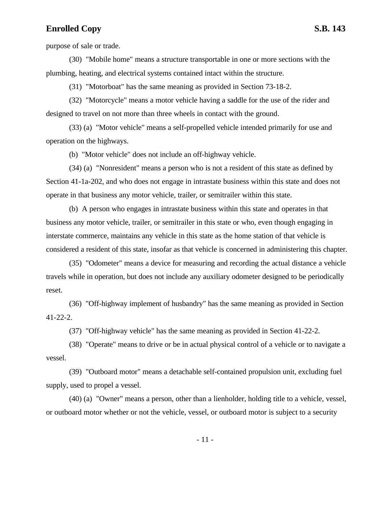purpose of sale or trade.

(30) "Mobile home" means a structure transportable in one or more sections with the plumbing, heating, and electrical systems contained intact within the structure.

(31) "Motorboat" has the same meaning as provided in Section 73-18-2.

(32) "Motorcycle" means a motor vehicle having a saddle for the use of the rider and designed to travel on not more than three wheels in contact with the ground.

(33) (a) "Motor vehicle" means a self-propelled vehicle intended primarily for use and operation on the highways.

(b) "Motor vehicle" does not include an off-highway vehicle.

(34) (a) "Nonresident" means a person who is not a resident of this state as defined by Section 41-1a-202, and who does not engage in intrastate business within this state and does not operate in that business any motor vehicle, trailer, or semitrailer within this state.

(b) A person who engages in intrastate business within this state and operates in that business any motor vehicle, trailer, or semitrailer in this state or who, even though engaging in interstate commerce, maintains any vehicle in this state as the home station of that vehicle is considered a resident of this state, insofar as that vehicle is concerned in administering this chapter.

(35) "Odometer" means a device for measuring and recording the actual distance a vehicle travels while in operation, but does not include any auxiliary odometer designed to be periodically reset.

(36) "Off-highway implement of husbandry" has the same meaning as provided in Section 41-22-2.

(37) "Off-highway vehicle" has the same meaning as provided in Section 41-22-2.

(38) "Operate" means to drive or be in actual physical control of a vehicle or to navigate a vessel.

(39) "Outboard motor" means a detachable self-contained propulsion unit, excluding fuel supply, used to propel a vessel.

(40) (a) "Owner" means a person, other than a lienholder, holding title to a vehicle, vessel, or outboard motor whether or not the vehicle, vessel, or outboard motor is subject to a security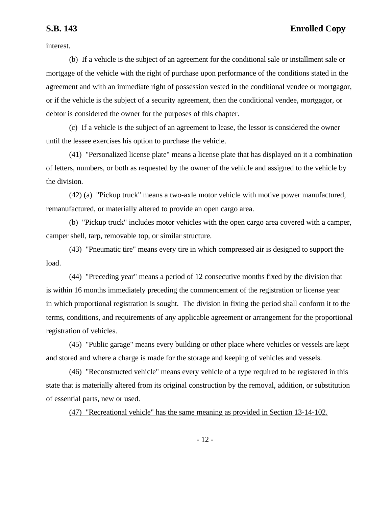interest.

(b) If a vehicle is the subject of an agreement for the conditional sale or installment sale or mortgage of the vehicle with the right of purchase upon performance of the conditions stated in the agreement and with an immediate right of possession vested in the conditional vendee or mortgagor, or if the vehicle is the subject of a security agreement, then the conditional vendee, mortgagor, or debtor is considered the owner for the purposes of this chapter.

(c) If a vehicle is the subject of an agreement to lease, the lessor is considered the owner until the lessee exercises his option to purchase the vehicle.

(41) "Personalized license plate" means a license plate that has displayed on it a combination of letters, numbers, or both as requested by the owner of the vehicle and assigned to the vehicle by the division.

(42) (a) "Pickup truck" means a two-axle motor vehicle with motive power manufactured, remanufactured, or materially altered to provide an open cargo area.

(b) "Pickup truck" includes motor vehicles with the open cargo area covered with a camper, camper shell, tarp, removable top, or similar structure.

(43) "Pneumatic tire" means every tire in which compressed air is designed to support the load.

(44) "Preceding year" means a period of 12 consecutive months fixed by the division that is within 16 months immediately preceding the commencement of the registration or license year in which proportional registration is sought. The division in fixing the period shall conform it to the terms, conditions, and requirements of any applicable agreement or arrangement for the proportional registration of vehicles.

(45) "Public garage" means every building or other place where vehicles or vessels are kept and stored and where a charge is made for the storage and keeping of vehicles and vessels.

(46) "Reconstructed vehicle" means every vehicle of a type required to be registered in this state that is materially altered from its original construction by the removal, addition, or substitution of essential parts, new or used.

(47) "Recreational vehicle" has the same meaning as provided in Section 13-14-102.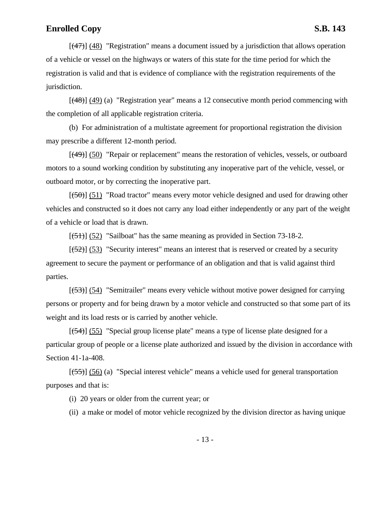$[(47)]$  (48) "Registration" means a document issued by a jurisdiction that allows operation of a vehicle or vessel on the highways or waters of this state for the time period for which the registration is valid and that is evidence of compliance with the registration requirements of the jurisdiction.

 $[(48)]$  (49) (a) "Registration year" means a 12 consecutive month period commencing with the completion of all applicable registration criteria.

(b) For administration of a multistate agreement for proportional registration the division may prescribe a different 12-month period.

[(49)] (50) "Repair or replacement" means the restoration of vehicles, vessels, or outboard motors to a sound working condition by substituting any inoperative part of the vehicle, vessel, or outboard motor, or by correcting the inoperative part.

 $[(50)]$  (51) "Road tractor" means every motor vehicle designed and used for drawing other vehicles and constructed so it does not carry any load either independently or any part of the weight of a vehicle or load that is drawn.

 $[(51)]$  (52) "Sailboat" has the same meaning as provided in Section 73-18-2.

 $[ (52) ]$  (53) "Security interest" means an interest that is reserved or created by a security agreement to secure the payment or performance of an obligation and that is valid against third parties.

[(53)] (54) "Semitrailer" means every vehicle without motive power designed for carrying persons or property and for being drawn by a motor vehicle and constructed so that some part of its weight and its load rests or is carried by another vehicle.

 $[(54)]$  (55) "Special group license plate" means a type of license plate designed for a particular group of people or a license plate authorized and issued by the division in accordance with Section 41-1a-408.

[(55)] (56) (a) "Special interest vehicle" means a vehicle used for general transportation purposes and that is:

(i) 20 years or older from the current year; or

(ii) a make or model of motor vehicle recognized by the division director as having unique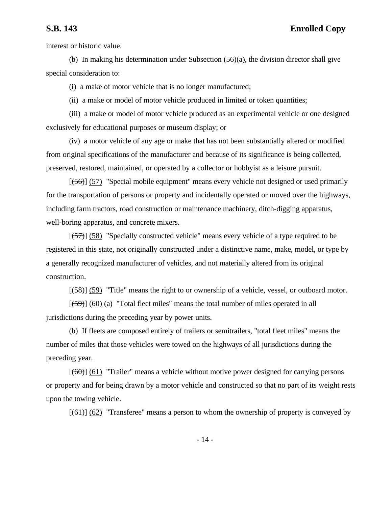interest or historic value.

(b) In making his determination under Subsection (56)(a), the division director shall give special consideration to:

(i) a make of motor vehicle that is no longer manufactured;

(ii) a make or model of motor vehicle produced in limited or token quantities;

(iii) a make or model of motor vehicle produced as an experimental vehicle or one designed exclusively for educational purposes or museum display; or

(iv) a motor vehicle of any age or make that has not been substantially altered or modified from original specifications of the manufacturer and because of its significance is being collected, preserved, restored, maintained, or operated by a collector or hobbyist as a leisure pursuit.

 $[(56)]$  (57) "Special mobile equipment" means every vehicle not designed or used primarily for the transportation of persons or property and incidentally operated or moved over the highways, including farm tractors, road construction or maintenance machinery, ditch-digging apparatus, well-boring apparatus, and concrete mixers.

 $[(57)]$  (58) "Specially constructed vehicle" means every vehicle of a type required to be registered in this state, not originally constructed under a distinctive name, make, model, or type by a generally recognized manufacturer of vehicles, and not materially altered from its original construction.

 $[(58)]$  (59) "Title" means the right to or ownership of a vehicle, vessel, or outboard motor.

 $[(59)]$  (60) (a) "Total fleet miles" means the total number of miles operated in all jurisdictions during the preceding year by power units.

(b) If fleets are composed entirely of trailers or semitrailers, "total fleet miles" means the number of miles that those vehicles were towed on the highways of all jurisdictions during the preceding year.

 $[(60)]$  (61) "Trailer" means a vehicle without motive power designed for carrying persons or property and for being drawn by a motor vehicle and constructed so that no part of its weight rests upon the towing vehicle.

 $[(61)]$  (62) "Transferee" means a person to whom the ownership of property is conveyed by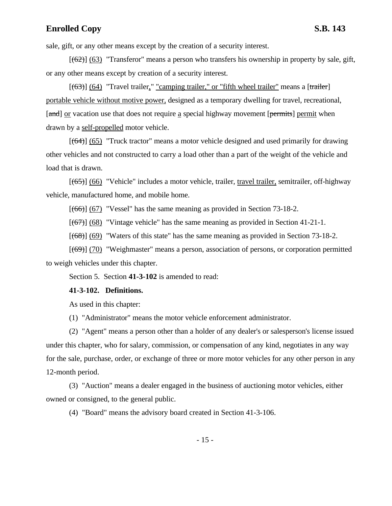sale, gift, or any other means except by the creation of a security interest.

 $[(62)]$  (63) "Transferor" means a person who transfers his ownership in property by sale, gift, or any other means except by creation of a security interest.

 $[(63)]$  (64) "Travel trailer," "camping trailer," or "fifth wheel trailer" means a [trailer] portable vehicle without motive power, designed as a temporary dwelling for travel, recreational, [and] or vacation use that does not require a special highway movement [permits] permit when drawn by a self-propelled motor vehicle.

 $[(64)]$  (65) "Truck tractor" means a motor vehicle designed and used primarily for drawing other vehicles and not constructed to carry a load other than a part of the weight of the vehicle and load that is drawn.

 $[(65)]$  (66) "Vehicle" includes a motor vehicle, trailer, travel trailer, semitrailer, off-highway vehicle, manufactured home, and mobile home.

 $[(66)]$  (67) "Vessel" has the same meaning as provided in Section 73-18-2.

 $[(67)]$  (68) "Vintage vehicle" has the same meaning as provided in Section 41-21-1.

 $[(68)]$  (69) "Waters of this state" has the same meaning as provided in Section 73-18-2.

[(69)] (70) "Weighmaster" means a person, association of persons, or corporation permitted to weigh vehicles under this chapter.

Section 5. Section **41-3-102** is amended to read:

### **41-3-102. Definitions.**

As used in this chapter:

(1) "Administrator" means the motor vehicle enforcement administrator.

(2) "Agent" means a person other than a holder of any dealer's or salesperson's license issued under this chapter, who for salary, commission, or compensation of any kind, negotiates in any way for the sale, purchase, order, or exchange of three or more motor vehicles for any other person in any 12-month period.

(3) "Auction" means a dealer engaged in the business of auctioning motor vehicles, either owned or consigned, to the general public.

(4) "Board" means the advisory board created in Section 41-3-106.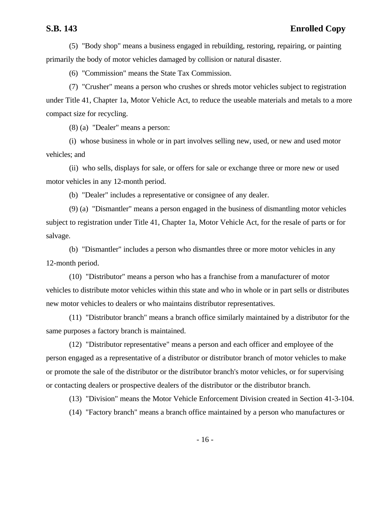(5) "Body shop" means a business engaged in rebuilding, restoring, repairing, or painting primarily the body of motor vehicles damaged by collision or natural disaster.

(6) "Commission" means the State Tax Commission.

(7) "Crusher" means a person who crushes or shreds motor vehicles subject to registration under Title 41, Chapter 1a, Motor Vehicle Act, to reduce the useable materials and metals to a more compact size for recycling.

(8) (a) "Dealer" means a person:

(i) whose business in whole or in part involves selling new, used, or new and used motor vehicles; and

(ii) who sells, displays for sale, or offers for sale or exchange three or more new or used motor vehicles in any 12-month period.

(b) "Dealer" includes a representative or consignee of any dealer.

(9) (a) "Dismantler" means a person engaged in the business of dismantling motor vehicles subject to registration under Title 41, Chapter 1a, Motor Vehicle Act, for the resale of parts or for salvage.

(b) "Dismantler" includes a person who dismantles three or more motor vehicles in any 12-month period.

(10) "Distributor" means a person who has a franchise from a manufacturer of motor vehicles to distribute motor vehicles within this state and who in whole or in part sells or distributes new motor vehicles to dealers or who maintains distributor representatives.

(11) "Distributor branch" means a branch office similarly maintained by a distributor for the same purposes a factory branch is maintained.

(12) "Distributor representative" means a person and each officer and employee of the person engaged as a representative of a distributor or distributor branch of motor vehicles to make or promote the sale of the distributor or the distributor branch's motor vehicles, or for supervising or contacting dealers or prospective dealers of the distributor or the distributor branch.

(13) "Division" means the Motor Vehicle Enforcement Division created in Section 41-3-104.

(14) "Factory branch" means a branch office maintained by a person who manufactures or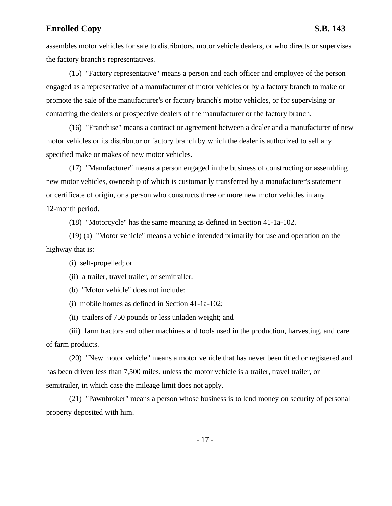assembles motor vehicles for sale to distributors, motor vehicle dealers, or who directs or supervises the factory branch's representatives.

(15) "Factory representative" means a person and each officer and employee of the person engaged as a representative of a manufacturer of motor vehicles or by a factory branch to make or promote the sale of the manufacturer's or factory branch's motor vehicles, or for supervising or contacting the dealers or prospective dealers of the manufacturer or the factory branch.

(16) "Franchise" means a contract or agreement between a dealer and a manufacturer of new motor vehicles or its distributor or factory branch by which the dealer is authorized to sell any specified make or makes of new motor vehicles.

(17) "Manufacturer" means a person engaged in the business of constructing or assembling new motor vehicles, ownership of which is customarily transferred by a manufacturer's statement or certificate of origin, or a person who constructs three or more new motor vehicles in any 12-month period.

(18) "Motorcycle" has the same meaning as defined in Section 41-1a-102.

(19) (a) "Motor vehicle" means a vehicle intended primarily for use and operation on the highway that is:

(i) self-propelled; or

(ii) a trailer, travel trailer, or semitrailer.

(b) "Motor vehicle" does not include:

(i) mobile homes as defined in Section 41-1a-102;

(ii) trailers of 750 pounds or less unladen weight; and

(iii) farm tractors and other machines and tools used in the production, harvesting, and care of farm products.

(20) "New motor vehicle" means a motor vehicle that has never been titled or registered and has been driven less than 7,500 miles, unless the motor vehicle is a trailer, travel trailer, or semitrailer, in which case the mileage limit does not apply.

(21) "Pawnbroker" means a person whose business is to lend money on security of personal property deposited with him.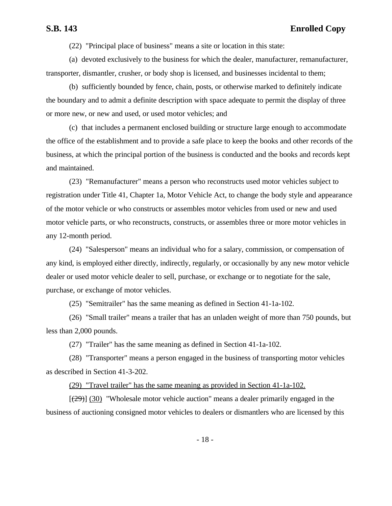(22) "Principal place of business" means a site or location in this state:

(a) devoted exclusively to the business for which the dealer, manufacturer, remanufacturer, transporter, dismantler, crusher, or body shop is licensed, and businesses incidental to them;

(b) sufficiently bounded by fence, chain, posts, or otherwise marked to definitely indicate the boundary and to admit a definite description with space adequate to permit the display of three or more new, or new and used, or used motor vehicles; and

(c) that includes a permanent enclosed building or structure large enough to accommodate the office of the establishment and to provide a safe place to keep the books and other records of the business, at which the principal portion of the business is conducted and the books and records kept and maintained.

(23) "Remanufacturer" means a person who reconstructs used motor vehicles subject to registration under Title 41, Chapter 1a, Motor Vehicle Act, to change the body style and appearance of the motor vehicle or who constructs or assembles motor vehicles from used or new and used motor vehicle parts, or who reconstructs, constructs, or assembles three or more motor vehicles in any 12-month period.

(24) "Salesperson" means an individual who for a salary, commission, or compensation of any kind, is employed either directly, indirectly, regularly, or occasionally by any new motor vehicle dealer or used motor vehicle dealer to sell, purchase, or exchange or to negotiate for the sale, purchase, or exchange of motor vehicles.

(25) "Semitrailer" has the same meaning as defined in Section 41-1a-102.

(26) "Small trailer" means a trailer that has an unladen weight of more than 750 pounds, but less than 2,000 pounds.

(27) "Trailer" has the same meaning as defined in Section 41-1a-102.

(28) "Transporter" means a person engaged in the business of transporting motor vehicles as described in Section 41-3-202.

(29) "Travel trailer" has the same meaning as provided in Section 41-1a-102.

 $[(29)]$  (30) "Wholesale motor vehicle auction" means a dealer primarily engaged in the business of auctioning consigned motor vehicles to dealers or dismantlers who are licensed by this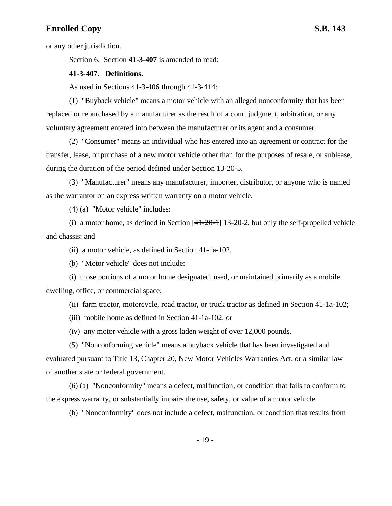or any other jurisdiction.

Section 6. Section **41-3-407** is amended to read:

### **41-3-407. Definitions.**

As used in Sections 41-3-406 through 41-3-414:

(1) "Buyback vehicle" means a motor vehicle with an alleged nonconformity that has been replaced or repurchased by a manufacturer as the result of a court judgment, arbitration, or any voluntary agreement entered into between the manufacturer or its agent and a consumer.

(2) "Consumer" means an individual who has entered into an agreement or contract for the transfer, lease, or purchase of a new motor vehicle other than for the purposes of resale, or sublease, during the duration of the period defined under Section 13-20-5.

(3) "Manufacturer" means any manufacturer, importer, distributor, or anyone who is named as the warrantor on an express written warranty on a motor vehicle.

(4) (a) "Motor vehicle" includes:

(i) a motor home, as defined in Section  $[41-20-1]$  13-20-2, but only the self-propelled vehicle and chassis; and

(ii) a motor vehicle, as defined in Section 41-1a-102.

(b) "Motor vehicle" does not include:

(i) those portions of a motor home designated, used, or maintained primarily as a mobile dwelling, office, or commercial space;

(ii) farm tractor, motorcycle, road tractor, or truck tractor as defined in Section 41-1a-102;

(iii) mobile home as defined in Section 41-1a-102; or

(iv) any motor vehicle with a gross laden weight of over 12,000 pounds.

(5) "Nonconforming vehicle" means a buyback vehicle that has been investigated and evaluated pursuant to Title 13, Chapter 20, New Motor Vehicles Warranties Act, or a similar law of another state or federal government.

(6) (a) "Nonconformity" means a defect, malfunction, or condition that fails to conform to the express warranty, or substantially impairs the use, safety, or value of a motor vehicle.

(b) "Nonconformity" does not include a defect, malfunction, or condition that results from